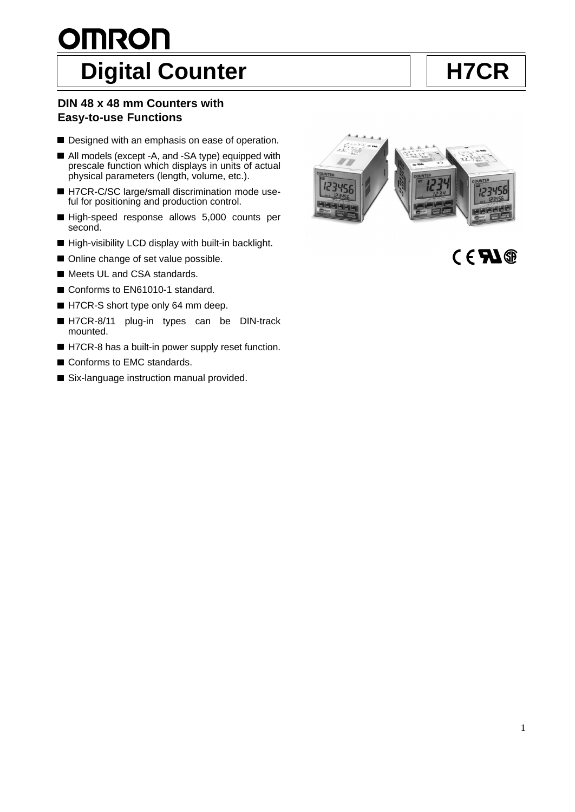# **OMRON** Digital Counter **H7CR**

# **DIN 48 x 48 mm Counters with Easy-to-use Functions**

- Designed with an emphasis on ease of operation.
- All models (except -A, and -SA type) equipped with prescale function which displays in units of actual physical parameters (length, volume, etc.).
- H7CR-C/SC large/small discrimination mode useful for positioning and production control.
- High-speed response allows 5,000 counts per second.
- $\blacksquare$  High-visibility LCD display with built-in backlight.
- Online change of set value possible.
- Meets UL and CSA standards.
- Conforms to EN61010-1 standard.
- H7CR-S short type only 64 mm deep.
- H7CR-8/11 plug-in types can be DIN-track mounted.
- H7CR-8 has a built-in power supply reset function.
- Conforms to EMC standards.
- Six-language instruction manual provided.



 $C \in \mathbf{F}$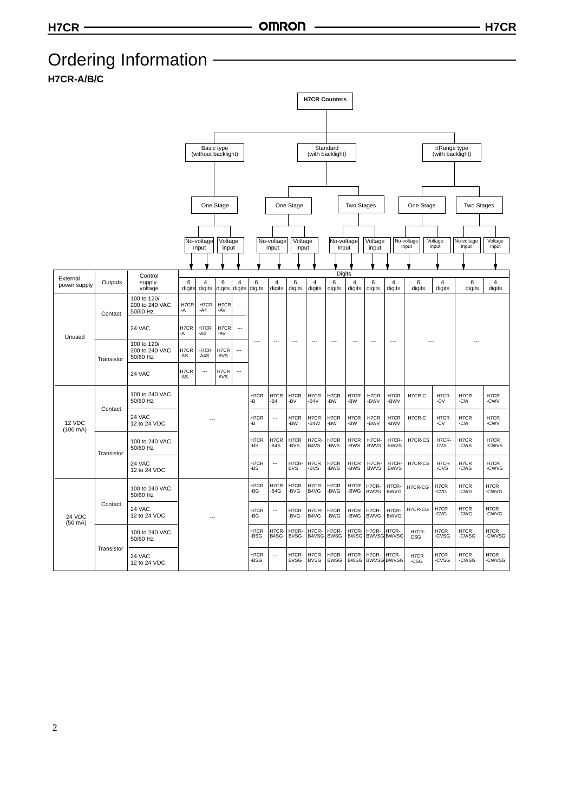# Ordering Information –––––––––––––

**H7CR-A/B/C**

|                              |            |                                           |             |                     |                  |                          |              |                          |                      |                          | <b>H7CR Counters</b>         |                      |                            |                      |                     |                                 |                     |                          |
|------------------------------|------------|-------------------------------------------|-------------|---------------------|------------------|--------------------------|--------------|--------------------------|----------------------|--------------------------|------------------------------|----------------------|----------------------------|----------------------|---------------------|---------------------------------|---------------------|--------------------------|
|                              |            |                                           |             |                     |                  |                          |              |                          |                      |                          |                              |                      |                            |                      |                     |                                 |                     |                          |
|                              |            |                                           |             |                     |                  |                          |              |                          |                      |                          |                              |                      |                            |                      |                     |                                 |                     |                          |
|                              |            |                                           |             |                     |                  |                          |              |                          |                      |                          |                              |                      |                            |                      |                     |                                 |                     |                          |
|                              |            |                                           |             | (without backlight) | Basic type       |                          |              |                          |                      |                          | Standard<br>(with backlight) |                      |                            |                      |                     | ±Range type<br>(with backlight) |                     |                          |
|                              |            |                                           |             |                     |                  |                          |              |                          |                      |                          |                              |                      |                            |                      |                     |                                 |                     |                          |
|                              |            |                                           |             |                     |                  |                          |              |                          |                      |                          |                              |                      |                            |                      |                     |                                 |                     |                          |
|                              |            |                                           |             |                     |                  |                          |              |                          |                      |                          |                              |                      |                            |                      |                     |                                 |                     |                          |
|                              |            |                                           |             |                     | One Stage        |                          |              |                          | One Stage            |                          |                              | <b>Two Stages</b>    |                            |                      | One Stage           |                                 | <b>Two Stages</b>   |                          |
|                              |            |                                           |             |                     |                  |                          |              |                          |                      |                          |                              |                      |                            |                      |                     |                                 |                     |                          |
|                              |            |                                           |             |                     |                  |                          |              |                          |                      |                          |                              |                      |                            |                      |                     | Voltage                         |                     |                          |
|                              |            |                                           |             | No-voltage<br>Input | Voltage<br>input |                          |              | No-voltage<br>Input      | Voltage<br>input     |                          | No-voltage<br>Input          |                      | Voltage<br>input           |                      | No-voltage<br>Input | input                           | No-voltage<br>Input | Voltage<br>input         |
|                              |            |                                           |             |                     |                  |                          |              |                          |                      |                          |                              |                      |                            |                      |                     |                                 |                     |                          |
| External                     |            | Control                                   |             |                     |                  |                          |              |                          |                      |                          | Digits                       |                      |                            |                      |                     |                                 |                     |                          |
| power supply                 | Outputs    | supply<br>voltage                         | 6<br>digits | 4<br>digits         | 6<br>digits      | 4<br>digits              | 6<br>digits  | $\overline{4}$<br>digits | 6<br>digits          | $\overline{4}$<br>digits | 6<br>digits                  | 4<br>digits          | 6<br>digits                | 4<br>digits          | 6<br>digits         | 4<br>digits                     | 6<br>digits         | $\overline{4}$<br>digits |
|                              | Contact    | 100 to 120/<br>200 to 240 VAC<br>50/60 Hz | H7CR<br>-A  | H7CR<br>-A4         | H7CR<br>-AV      | $\overline{\phantom{a}}$ |              |                          |                      |                          |                              |                      |                            |                      |                     |                                 |                     |                          |
| Unused                       |            | 24 VAC                                    | H7CR<br>-A  | H7CR<br>$-A4$       | H7CR<br>-AV      | $\overline{\phantom{a}}$ |              |                          |                      |                          |                              |                      |                            |                      |                     |                                 |                     |                          |
|                              | Transistor | 100 to 120/<br>200 to 240 VAC<br>50/60 Hz | H7CR<br>-AS | H7CR<br>$-AAS$      | H7CR<br>-AVS     | ---                      |              | $\overline{\phantom{a}}$ | $---$                | $\overline{a}$           | $---$                        | $---$                | $---$                      | $\overline{a}$       |                     |                                 |                     |                          |
|                              |            | 24 VAC                                    |             | ---                 | H7CR<br>-AVS     | ---                      |              |                          |                      |                          |                              |                      |                            |                      |                     |                                 |                     |                          |
|                              | Contact    | 100 to 240 VAC<br>50/60 Hz                |             |                     |                  |                          | H7CR<br>-В   | H7CR<br>-B4              | H7CR<br>-BV          | H7CR<br>-B4V             | H7CR<br>-BW                  | H7CR<br>-BW          | H7CR<br>-BWV               | H7CR<br>-BWV         | H7CR-C              | H7CR<br>-CV                     | H7CR<br>-CW         | H7CR<br>-CWV             |
| 12 VDC<br>$(100 \text{ mA})$ |            | 24 VAC<br>12 to 24 VDC                    |             |                     |                  |                          | H7CR<br>-B   | ---                      | H7CR<br>-BW          | H7CR<br>$-B4W$           | H7CR<br>-BW                  | H7CR<br>-BW          | H7CR<br>-BWV               | H7CR<br>-BWV         | H7CR-C              | H7CR<br>-CV                     | H7CR<br>-CW         | H7CR<br>-CWV             |
|                              | Transistor | 100 to 240 VAC<br>50/60 Hz                |             |                     |                  |                          | H7CR<br>-BS  | H7CR<br>-B4S             | H7CR<br>-BVS         | H7CR-<br>B4VS            | H7CR<br>-BWS                 | H7CR<br>-BWS         | H7CR-<br><b>BWVS</b>       | H7CR-<br><b>BWVS</b> | H7CR-CS             | H7CR-<br>CVS                    | H7CR<br>-CWS        | H7CR<br>-CWVS            |
|                              |            | 24 VAC<br>12 to 24 VDC                    |             |                     |                  |                          | H7CR<br>-BS  | ---                      | H7CR-<br><b>BVS</b>  | H7CR<br>-BVS             | H7CR<br>-BWS                 | H7CR<br>-BWS         | H7CR-<br><b>BWVS</b>       | H7CR-<br><b>BWVS</b> | H7CR-CS             | H7CR<br>-CVS                    | H7CR<br>-CWS        | H7CR<br>-CWVS            |
|                              |            | 100 to 240 VAC<br>50/60 Hz                |             |                     |                  |                          | H7CR<br>-BG  | H7CR<br>$-B4G$           | H7CR<br>-BVG         | H7CR-<br>B4VG            | H7CR<br>-BWG                 | H7CR<br>-BWG         | H7CR-<br><b>BWVG</b>       | H7CR-<br><b>BWVG</b> | H7CR-CG             | H7CR<br>-CVG                    | H7CR<br>-CWG        | H7CR<br>-CWVG            |
| 24 VDC<br>$(50 \text{ mA})$  | Contact    | 24 VAC<br>12 to 24 VDC                    |             |                     |                  |                          | H7CR<br>-BG  | $\overline{a}$           | H7CR<br>-BVG         | H7CR-<br>B4VG            | H7CR<br>-BWG                 | H7CR<br>-BWG         | H7CR-<br><b>BWVG</b>       | H7CR-<br><b>BWVG</b> | H7CR-CG             | H7CR<br>-CVG                    | H7CR<br>-CWG        | H7CR<br>-CWVG            |
|                              |            | 100 to 240 VAC<br>50/60 Hz                |             |                     |                  |                          | H7CR<br>-BSG | H7CR-<br>B4SG            | H7CR-<br><b>BVSG</b> | H7CR-<br>B4VSG           | H7CR-<br><b>BWSG</b>         | H7CR-<br><b>BWSG</b> | H7CR-                      | H7CR-<br>BWVSG BWVSG | H7CR-<br>CSG        | H7CR<br>-CVSG                   | H7CR<br>-CWSG       | H7CR<br>-CWVSG           |
|                              | Transistor | 24 VAC<br>12 to 24 VDC                    |             |                     |                  |                          | H7CR<br>-BSG | $\overline{a}$           | H7CR-<br><b>BVSG</b> | H7CR-<br><b>BVSG</b>     | H7CR-<br><b>BWSG</b>         | H7CR-<br><b>BWSG</b> | H7CR-<br><b>BWVSGBWVSG</b> | H7CR-                | H7CR<br>$-CSG$      | H7CR<br>-CVSG                   | H7CR<br>-CWSG       | H7CR<br>-CWVSG           |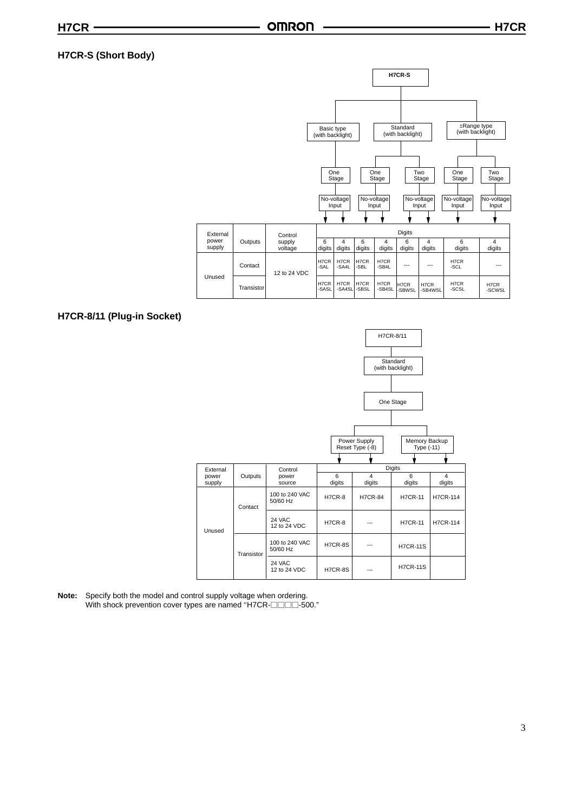## **H7CR-S (Short Body)**



#### **H7CR-8/11 (Plug-in Socket)**



**Note:** Specify both the model and control supply voltage when ordering. With shock prevention cover types are named "H7CR- $\Box$  $\Box$ 500."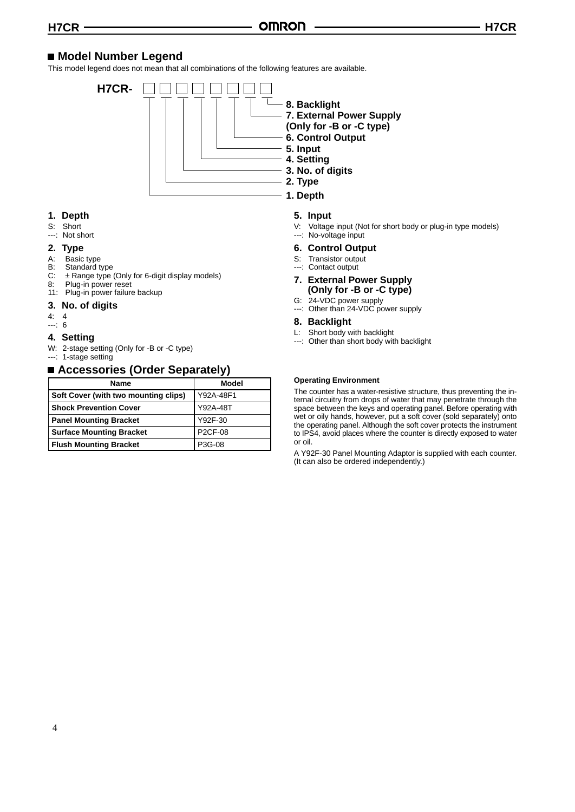# **Model Number Legend**

This model legend does not mean that all combinations of the following features are available.



#### **1. Depth**

S: Short ---: Not short

# **2. Type**

- 
- A: Basic type<br>B: Standard t
- B: Standard type<br>C:  $\pm$  Range type C:  $\pm$  Range type (Only for 6-digit display models)<br>8: Plug-in power reset
- Plug-in power reset
- 11: Plug-in power failure backup

#### **3. No. of digits**

- 4: 4
- ---: 6

#### **4. Setting**

- W: 2-stage setting (Only for -B or -C type)
- ---: 1-stage setting

# ■ Accessories (Order Separately)

| <b>Name</b>                          | Model          |
|--------------------------------------|----------------|
| Soft Cover (with two mounting clips) | Y92A-48F1      |
| <b>Shock Prevention Cover</b>        | Y92A-48T       |
| <b>Panel Mounting Bracket</b>        | Y92F-30        |
| <b>Surface Mounting Bracket</b>      | <b>P2CF-08</b> |
| <b>Flush Mounting Bracket</b>        | P3G-08         |

#### **5. Input**

- V: Voltage input (Not for short body or plug-in type models) ---: No-voltage input
- **6. Control Output**
- S: Transistor output
- --: Contact output
- **7. External Power Supply (Only for -B or -C type)**
- G: 24-VDC power supply
- ---: Other than 24-VDC power supply

#### **8. Backlight**

- L: Short body with backlight<br>---: Other than short body with
- Other than short body with backlight

#### **Operating Environment**

The counter has a water-resistive structure, thus preventing the internal circuitry from drops of water that may penetrate through the space between the keys and operating panel. Before operating with wet or oily hands, however, put a soft cover (sold separately) onto the operating panel. Although the soft cover protects the instrument to IPS4, avoid places where the counter is directly exposed to water or oil.

A Y92F-30 Panel Mounting Adaptor is supplied with each counter. (It can also be ordered independently.)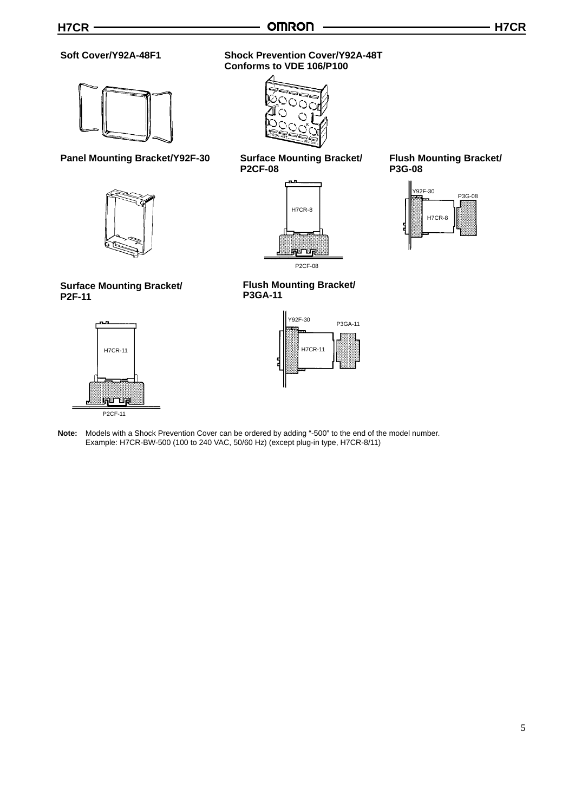**Conforms to VDE 106/P100**

**P2CF-08**

**P3GA-11**

#### **Soft Cover/Y92A-48F1 Shock Prevention Cover/Y92A-48T**



#### **Panel Mounting Bracket/Y92F-30 Surface Mounting Bracket/**



# **Surface Mounting Bracket/ P2F-11**



# H7CR-11 H7CR-11 P3GA-11 Y92F-30

H7CR-8

P2CF-08

<u> पुणाणून</u>

**Flush Mounting Bracket/**

#### **Note:** Models with a Shock Prevention Cover can be ordered by adding "-500" to the end of the model number. Example: H7CR-BW-500 (100 to 240 VAC, 50/60 Hz) (except plug-in type, H7CR-8/11)

# **Flush Mounting Bracket/ P3G-08**



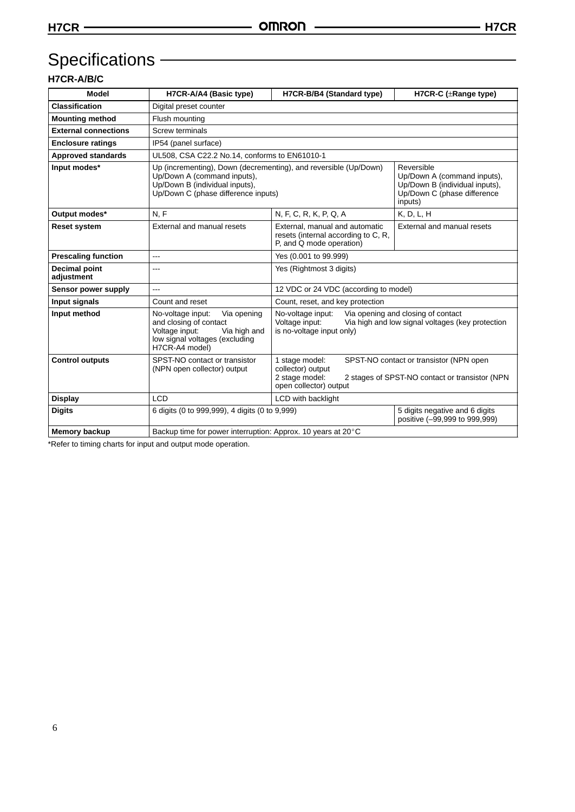# Specifications – **Example 2014**

# **H7CR-A/B/C**

| <b>Model</b>                                                                                                                                                                                                         | H7CR-A/A4 (Basic type)                                                                                                                                                                                                                                                                                         | H7CR-B/B4 (Standard type)                                                                                             | H7CR-C (±Range type)                            |  |  |  |  |  |
|----------------------------------------------------------------------------------------------------------------------------------------------------------------------------------------------------------------------|----------------------------------------------------------------------------------------------------------------------------------------------------------------------------------------------------------------------------------------------------------------------------------------------------------------|-----------------------------------------------------------------------------------------------------------------------|-------------------------------------------------|--|--|--|--|--|
| <b>Classification</b>                                                                                                                                                                                                | Digital preset counter                                                                                                                                                                                                                                                                                         |                                                                                                                       |                                                 |  |  |  |  |  |
| <b>Mounting method</b>                                                                                                                                                                                               | Flush mounting                                                                                                                                                                                                                                                                                                 |                                                                                                                       |                                                 |  |  |  |  |  |
| <b>External connections</b>                                                                                                                                                                                          | Screw terminals                                                                                                                                                                                                                                                                                                |                                                                                                                       |                                                 |  |  |  |  |  |
| <b>Enclosure ratings</b>                                                                                                                                                                                             | IP54 (panel surface)                                                                                                                                                                                                                                                                                           |                                                                                                                       |                                                 |  |  |  |  |  |
| <b>Approved standards</b>                                                                                                                                                                                            | UL508, CSA C22.2 No.14, conforms to EN61010-1                                                                                                                                                                                                                                                                  |                                                                                                                       |                                                 |  |  |  |  |  |
| Input modes*                                                                                                                                                                                                         | Up (incrementing), Down (decrementing), and reversible (Up/Down)<br>Up/Down A (command inputs),<br>Up/Down B (individual inputs),<br>Up/Down C (phase difference inputs)                                                                                                                                       | Reversible<br>Up/Down A (command inputs),<br>Up/Down B (individual inputs),<br>Up/Down C (phase difference<br>inputs) |                                                 |  |  |  |  |  |
| Output modes*                                                                                                                                                                                                        | N, F                                                                                                                                                                                                                                                                                                           | N, F, C, R, K, P, Q, A                                                                                                | K, D, L, H                                      |  |  |  |  |  |
| <b>Reset system</b>                                                                                                                                                                                                  | External and manual resets                                                                                                                                                                                                                                                                                     | External, manual and automatic<br>resets (internal according to C, R,<br>P, and Q mode operation)                     | External and manual resets                      |  |  |  |  |  |
| <b>Prescaling function</b>                                                                                                                                                                                           | Yes (0.001 to 99.999)<br>---                                                                                                                                                                                                                                                                                   |                                                                                                                       |                                                 |  |  |  |  |  |
| <b>Decimal point</b><br>adjustment                                                                                                                                                                                   | Yes (Rightmost 3 digits)<br>---                                                                                                                                                                                                                                                                                |                                                                                                                       |                                                 |  |  |  |  |  |
| Sensor power supply                                                                                                                                                                                                  | $---$                                                                                                                                                                                                                                                                                                          | 12 VDC or 24 VDC (according to model)                                                                                 |                                                 |  |  |  |  |  |
| Input signals                                                                                                                                                                                                        | Count and reset                                                                                                                                                                                                                                                                                                | Count, reset, and key protection                                                                                      |                                                 |  |  |  |  |  |
| Input method                                                                                                                                                                                                         | No-voltage input:<br>No-voltage input:<br>Via opening and closing of contact<br>Via opening<br>and closing of contact<br>Voltage input:<br>Via high and low signal voltages (key protection<br>Voltage input:<br>is no-voltage input only)<br>Via high and<br>low signal voltages (excluding<br>H7CR-A4 model) |                                                                                                                       |                                                 |  |  |  |  |  |
| <b>Control outputs</b><br>SPST-NO contact or transistor<br>1 stage model:<br>SPST-NO contact or transistor (NPN open<br>(NPN open collector) output<br>collector) output<br>2 stage model:<br>open collector) output |                                                                                                                                                                                                                                                                                                                |                                                                                                                       | 2 stages of SPST-NO contact or transistor (NPN) |  |  |  |  |  |
| <b>Display</b>                                                                                                                                                                                                       | <b>LCD</b>                                                                                                                                                                                                                                                                                                     | LCD with backlight                                                                                                    |                                                 |  |  |  |  |  |
| <b>Digits</b>                                                                                                                                                                                                        | 6 digits (0 to 999,999), 4 digits (0 to 9,999)<br>5 digits negative and 6 digits<br>positive (-99,999 to 999,999)                                                                                                                                                                                              |                                                                                                                       |                                                 |  |  |  |  |  |
| <b>Memory backup</b>                                                                                                                                                                                                 | Backup time for power interruption: Approx. 10 years at 20°C                                                                                                                                                                                                                                                   |                                                                                                                       |                                                 |  |  |  |  |  |

\*Refer to timing charts for input and output mode operation.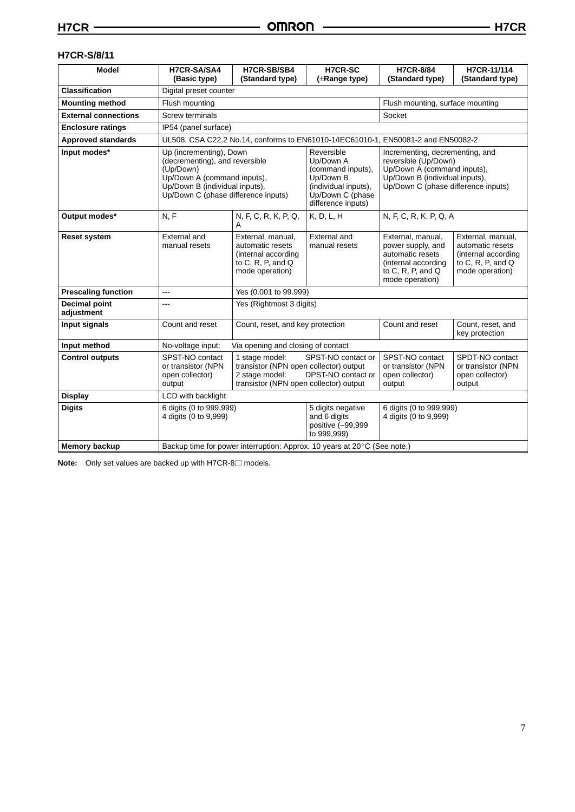# **H7CR-S/8/11**

| <b>Model</b>                                                      | H7CR-SA/SA4<br>(Basic type)                                                                                                                                                    | H7CR-SB/SB4<br>(Standard type)                                                                                  | <b>H7CR-SC</b><br>$(\pm$ Range type)                                                                                         | <b>H7CR-8/84</b><br>(Standard type)                                                                                                                             | H7CR-11/114<br>(Standard type)                                                                                  |  |  |  |
|-------------------------------------------------------------------|--------------------------------------------------------------------------------------------------------------------------------------------------------------------------------|-----------------------------------------------------------------------------------------------------------------|------------------------------------------------------------------------------------------------------------------------------|-----------------------------------------------------------------------------------------------------------------------------------------------------------------|-----------------------------------------------------------------------------------------------------------------|--|--|--|
| <b>Classification</b>                                             | Digital preset counter                                                                                                                                                         |                                                                                                                 |                                                                                                                              |                                                                                                                                                                 |                                                                                                                 |  |  |  |
| <b>Mounting method</b>                                            | Flush mounting                                                                                                                                                                 | Flush mounting, surface mounting                                                                                |                                                                                                                              |                                                                                                                                                                 |                                                                                                                 |  |  |  |
| <b>External connections</b>                                       | Screw terminals                                                                                                                                                                |                                                                                                                 |                                                                                                                              | Socket                                                                                                                                                          |                                                                                                                 |  |  |  |
| <b>Enclosure ratings</b>                                          | IP54 (panel surface)                                                                                                                                                           |                                                                                                                 |                                                                                                                              |                                                                                                                                                                 |                                                                                                                 |  |  |  |
| <b>Approved standards</b>                                         |                                                                                                                                                                                |                                                                                                                 | UL508, CSA C22.2 No.14, conforms to EN61010-1/IEC61010-1, EN50081-2 and EN50082-2                                            |                                                                                                                                                                 |                                                                                                                 |  |  |  |
| Input modes*                                                      | Up (incrementing), Down<br>(decrementing), and reversible<br>(Up/Down)<br>Up/Down A (command inputs),<br>Up/Down B (individual inputs),<br>Up/Down C (phase difference inputs) |                                                                                                                 | Reversible<br>Up/Down A<br>(command inputs),<br>Up/Down B<br>(individual inputs),<br>Up/Down C (phase<br>difference inputs)  | Incrementing, decrementing, and<br>reversible (Up/Down)<br>Up/Down A (command inputs),<br>Up/Down B (individual inputs),<br>Up/Down C (phase difference inputs) |                                                                                                                 |  |  |  |
| Output modes*                                                     | N, F                                                                                                                                                                           | N, F, C, R, K, P, Q,<br>A                                                                                       | K, D, L, H                                                                                                                   | N, F, C, R, K, P, Q, A                                                                                                                                          |                                                                                                                 |  |  |  |
| <b>Reset system</b>                                               | External and<br>manual resets                                                                                                                                                  | External, manual.<br>automatic resets<br>(internal according<br>to $C$ , $R$ , $P$ , and $Q$<br>mode operation) | External and<br>manual resets                                                                                                | External, manual.<br>power supply, and<br>automatic resets<br>(internal according<br>to C, R, P, and $Q$<br>mode operation)                                     | External, manual,<br>automatic resets<br>(internal according<br>to $C$ , $R$ , $P$ , and $Q$<br>mode operation) |  |  |  |
| <b>Prescaling function</b>                                        | ---                                                                                                                                                                            | Yes (0.001 to 99.999)                                                                                           |                                                                                                                              |                                                                                                                                                                 |                                                                                                                 |  |  |  |
| <b>Decimal point</b><br>adjustment                                | ---                                                                                                                                                                            | Yes (Rightmost 3 digits)                                                                                        |                                                                                                                              |                                                                                                                                                                 |                                                                                                                 |  |  |  |
| Input signals                                                     | Count and reset                                                                                                                                                                | Count, reset, and key protection                                                                                |                                                                                                                              | Count and reset                                                                                                                                                 | Count, reset, and<br>key protection                                                                             |  |  |  |
| Input method                                                      | No-voltage input:                                                                                                                                                              | Via opening and closing of contact                                                                              |                                                                                                                              |                                                                                                                                                                 |                                                                                                                 |  |  |  |
| <b>Control outputs</b>                                            | SPST-NO contact<br>or transistor (NPN<br>open collector)<br>output                                                                                                             | 1 stage model:<br>2 stage model:                                                                                | SPST-NO contact or<br>transistor (NPN open collector) output<br>DPST-NO contact or<br>transistor (NPN open collector) output |                                                                                                                                                                 | SPDT-NO contact<br>or transistor (NPN<br>open collector)<br>output                                              |  |  |  |
| <b>Display</b>                                                    | LCD with backlight                                                                                                                                                             |                                                                                                                 |                                                                                                                              |                                                                                                                                                                 |                                                                                                                 |  |  |  |
| 6 digits (0 to 999,999)<br><b>Digits</b><br>4 digits (0 to 9,999) |                                                                                                                                                                                |                                                                                                                 | 6 digits (0 to 999,999)<br>5 digits negative<br>and 6 digits<br>4 digits (0 to 9,999)<br>positive (-99,999<br>to 999,999)    |                                                                                                                                                                 |                                                                                                                 |  |  |  |
| <b>Memory backup</b>                                              |                                                                                                                                                                                | Backup time for power interruption: Approx. 10 years at 20°C (See note.)                                        |                                                                                                                              |                                                                                                                                                                 |                                                                                                                 |  |  |  |

Note: Only set values are backed up with H7CR-8<sup>1</sup> models.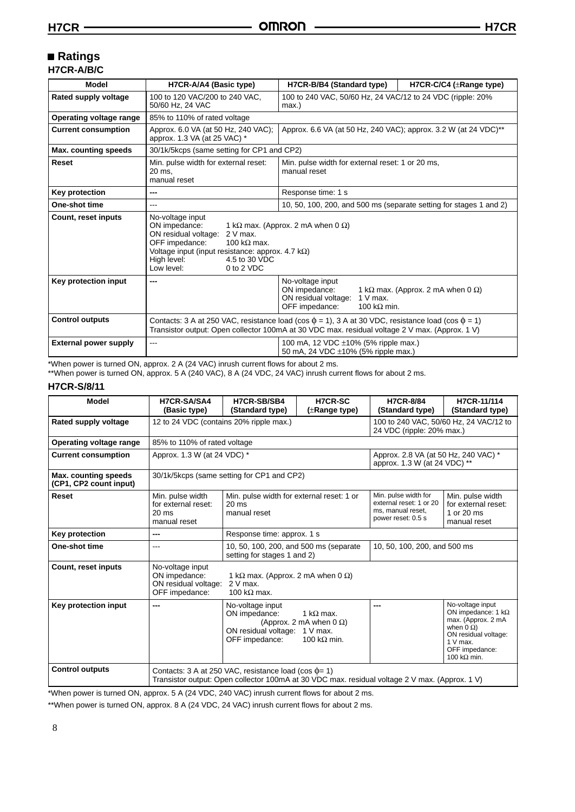# **Ratings**

| H7CR-A/B/C |  |
|------------|--|
|------------|--|

| <b>Model</b>                 | H7CR-A/A4 (Basic type)                                                                                                                                                                                                                  | H7CR-B/B4 (Standard type)                                                                                        | H7CR-C/C4 (±Range type)                           |  |  |
|------------------------------|-----------------------------------------------------------------------------------------------------------------------------------------------------------------------------------------------------------------------------------------|------------------------------------------------------------------------------------------------------------------|---------------------------------------------------|--|--|
| Rated supply voltage         | 100 to 120 VAC/200 to 240 VAC,<br>50/60 Hz, 24 VAC                                                                                                                                                                                      | 100 to 240 VAC, 50/60 Hz, 24 VAC/12 to 24 VDC (ripple: 20%<br>max.)                                              |                                                   |  |  |
| Operating voltage range      | 85% to 110% of rated voltage                                                                                                                                                                                                            |                                                                                                                  |                                                   |  |  |
| <b>Current consumption</b>   | Approx. 6.0 VA (at 50 Hz, 240 VAC);<br>approx. 1.3 VA (at 25 VAC) *                                                                                                                                                                     | Approx. 6.6 VA (at 50 Hz, 240 VAC); approx. 3.2 W (at 24 VDC)**                                                  |                                                   |  |  |
| Max. counting speeds         | 30/1k/5kcps (same setting for CP1 and CP2)                                                                                                                                                                                              |                                                                                                                  |                                                   |  |  |
| Reset                        | Min. pulse width for external reset:<br>20 ms.<br>manual reset                                                                                                                                                                          | Min. pulse width for external reset: 1 or 20 ms,<br>manual reset                                                 |                                                   |  |  |
| Key protection               | ---                                                                                                                                                                                                                                     | Response time: 1 s                                                                                               |                                                   |  |  |
| One-shot time                | ---                                                                                                                                                                                                                                     | 10, 50, 100, 200, and 500 ms (separate setting for stages 1 and 2)                                               |                                                   |  |  |
| Count, reset inputs          | No-voltage input<br>ON impedance:<br>ON residual voltage:<br>$2V$ max.<br>OFF impedance:<br>100 k $\Omega$ max.<br>Voltage input (input resistance: approx. 4.7 $k\Omega$ )<br>4.5 to 30 VDC<br>High level:<br>0 to 2 VDC<br>Low level: | 1 k $\Omega$ max. (Approx. 2 mA when 0 $\Omega$ )                                                                |                                                   |  |  |
| Key protection input         | ---                                                                                                                                                                                                                                     | No-voltage input<br>ON impedance:<br>ON residual voltage:<br>$1 V$ max.<br>OFF impedance:<br>100 k $\Omega$ min. | 1 k $\Omega$ max. (Approx. 2 mA when 0 $\Omega$ ) |  |  |
| <b>Control outputs</b>       | Contacts: 3 A at 250 VAC, resistance load (cos $\phi$ = 1), 3 A at 30 VDC, resistance load (cos $\phi$ = 1)<br>Transistor output: Open collector 100mA at 30 VDC max. residual voltage 2 V max. (Approx. 1 V)                           |                                                                                                                  |                                                   |  |  |
| <b>External power supply</b> | ---                                                                                                                                                                                                                                     | 100 mA, 12 VDC ±10% (5% ripple max.)<br>50 mA, 24 VDC ±10% (5% ripple max.)                                      |                                                   |  |  |

\*When power is turned ON, approx. 2 A (24 VAC) inrush current flows for about 2 ms.

\*\*When power is turned ON, approx. 5 A (240 VAC), 8 A (24 VDC, 24 VAC) inrush current flows for about 2 ms.

#### **H7CR-S/8/11**

| <b>Model</b>                                   | H7CR-SA/SA4<br>(Basic type)                                                                                                                                                | H7CR-SB/SB4<br>(Standard type)                                                                                                                               | <b>H7CR-SC</b><br>(±Range type) | <b>H7CR-8/84</b><br>(Standard type)                                                        | H7CR-11/114<br>(Standard type)                                                                                                                                          |  |  |
|------------------------------------------------|----------------------------------------------------------------------------------------------------------------------------------------------------------------------------|--------------------------------------------------------------------------------------------------------------------------------------------------------------|---------------------------------|--------------------------------------------------------------------------------------------|-------------------------------------------------------------------------------------------------------------------------------------------------------------------------|--|--|
| Rated supply voltage                           | 12 to 24 VDC (contains 20% ripple max.)                                                                                                                                    |                                                                                                                                                              |                                 | 100 to 240 VAC, 50/60 Hz, 24 VAC/12 to<br>24 VDC (ripple: 20% max.)                        |                                                                                                                                                                         |  |  |
| Operating voltage range                        | 85% to 110% of rated voltage                                                                                                                                               |                                                                                                                                                              |                                 |                                                                                            |                                                                                                                                                                         |  |  |
| <b>Current consumption</b>                     | Approx. 1.3 W (at 24 VDC) *                                                                                                                                                |                                                                                                                                                              |                                 | Approx. 2.8 VA (at 50 Hz, 240 VAC) *<br>approx. 1.3 W (at 24 VDC) **                       |                                                                                                                                                                         |  |  |
| Max. counting speeds<br>(CP1, CP2 count input) |                                                                                                                                                                            | 30/1k/5kcps (same setting for CP1 and CP2)                                                                                                                   |                                 |                                                                                            |                                                                                                                                                                         |  |  |
| Reset                                          | Min. pulse width<br>for external reset:<br>$20 \text{ ms}$<br>manual reset                                                                                                 | Min. pulse width for external reset: 1 or<br>$20 \text{ ms}$<br>manual reset                                                                                 |                                 | Min. pulse width for<br>external reset: 1 or 20<br>ms, manual reset,<br>power reset: 0.5 s | Min. pulse width<br>for external reset:<br>1 or 20 ms<br>manual reset                                                                                                   |  |  |
| Key protection                                 | ---                                                                                                                                                                        | Response time: approx. 1 s                                                                                                                                   |                                 |                                                                                            |                                                                                                                                                                         |  |  |
| One-shot time                                  | ---                                                                                                                                                                        | 10, 50, 100, 200, and 500 ms (separate)<br>setting for stages 1 and 2)                                                                                       | 10, 50, 100, 200, and 500 ms    |                                                                                            |                                                                                                                                                                         |  |  |
| <b>Count, reset inputs</b>                     | No-voltage input<br>ON impedance:<br>OFF impedance:                                                                                                                        | 1 k $\Omega$ max. (Approx. 2 mA when 0 $\Omega$ )<br>$2V$ max.<br>ON residual voltage:<br>100 k $\Omega$ max.                                                |                                 |                                                                                            |                                                                                                                                                                         |  |  |
| Key protection input                           | No-voltage input<br>---<br>1 k $\Omega$ max.<br>ON impedance:<br>(Approx. 2 mA when $0 \Omega$ )<br>ON residual voltage: 1 V max.<br>OFF impedance:<br>100 k $\Omega$ min. |                                                                                                                                                              |                                 | ---                                                                                        | No-voltage input<br>ON impedance: 1 $k\Omega$<br>max. (Approx. 2 mA<br>when $0 \Omega$ )<br>ON residual voltage:<br>$1 V$ max.<br>OFF impedance:<br>100 k $\Omega$ min. |  |  |
| <b>Control outputs</b>                         |                                                                                                                                                                            | Contacts: 3 A at 250 VAC, resistance load (cos $\phi$ = 1)<br>Transistor output: Open collector 100mA at 30 VDC max. residual voltage 2 V max. (Approx. 1 V) |                                 |                                                                                            |                                                                                                                                                                         |  |  |

\*When power is turned ON, approx. 5 A (24 VDC, 240 VAC) inrush current flows for about 2 ms.

\*\*When power is turned ON, approx. 8 A (24 VDC, 24 VAC) inrush current flows for about 2 ms.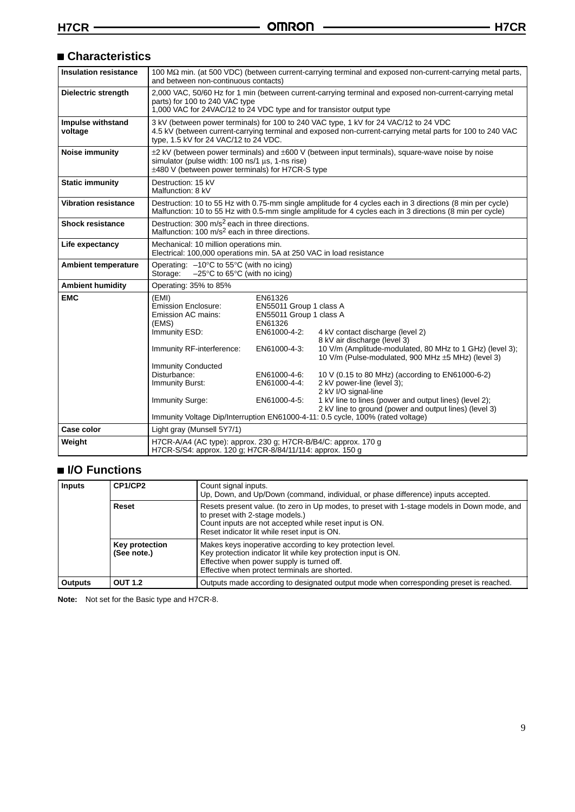# **Characteristics**

| <b>Insulation resistance</b> | and between non-continuous contacts)                                                                                                                                                                              |                                                                                                                                                          | 100 MΩ min. (at 500 VDC) (between current-carrying terminal and exposed non-current-carrying metal parts,                                                                                                                                                                                                                                                                                                                                                                                           |  |  |  |
|------------------------------|-------------------------------------------------------------------------------------------------------------------------------------------------------------------------------------------------------------------|----------------------------------------------------------------------------------------------------------------------------------------------------------|-----------------------------------------------------------------------------------------------------------------------------------------------------------------------------------------------------------------------------------------------------------------------------------------------------------------------------------------------------------------------------------------------------------------------------------------------------------------------------------------------------|--|--|--|
| Dielectric strength          | parts) for 100 to 240 VAC type<br>1,000 VAC for 24VAC/12 to 24 VDC type and for transistor output type                                                                                                            |                                                                                                                                                          | 2,000 VAC, 50/60 Hz for 1 min (between current-carrying terminal and exposed non-current-carrying metal                                                                                                                                                                                                                                                                                                                                                                                             |  |  |  |
| Impulse withstand<br>voltage | type, 1.5 kV for 24 VAC/12 to 24 VDC.                                                                                                                                                                             |                                                                                                                                                          | 3 kV (between power terminals) for 100 to 240 VAC type, 1 kV for 24 VAC/12 to 24 VDC<br>4.5 kV (between current-carrying terminal and exposed non-current-carrying metal parts for 100 to 240 VAC                                                                                                                                                                                                                                                                                                   |  |  |  |
| Noise immunity               | simulator (pulse width: 100 ns/1 us, 1-ns rise)<br>±480 V (between power terminals) for H7CR-S type                                                                                                               |                                                                                                                                                          | $\pm 2$ kV (between power terminals) and $\pm 600$ V (between input terminals), square-wave noise by noise                                                                                                                                                                                                                                                                                                                                                                                          |  |  |  |
| <b>Static immunity</b>       | Destruction: 15 kV<br>Malfunction: 8 kV                                                                                                                                                                           |                                                                                                                                                          |                                                                                                                                                                                                                                                                                                                                                                                                                                                                                                     |  |  |  |
| <b>Vibration resistance</b>  |                                                                                                                                                                                                                   |                                                                                                                                                          | Destruction: 10 to 55 Hz with 0.75-mm single amplitude for 4 cycles each in 3 directions (8 min per cycle)<br>Malfunction: 10 to 55 Hz with 0.5-mm single amplitude for 4 cycles each in 3 directions (8 min per cycle)                                                                                                                                                                                                                                                                             |  |  |  |
| <b>Shock resistance</b>      | Destruction: 300 m/s <sup>2</sup> each in three directions.<br>Malfunction: 100 m/s <sup>2</sup> each in three directions.                                                                                        |                                                                                                                                                          |                                                                                                                                                                                                                                                                                                                                                                                                                                                                                                     |  |  |  |
| Life expectancy              | Mechanical: 10 million operations min.<br>Electrical: 100,000 operations min. 5A at 250 VAC in load resistance                                                                                                    |                                                                                                                                                          |                                                                                                                                                                                                                                                                                                                                                                                                                                                                                                     |  |  |  |
| <b>Ambient temperature</b>   | Operating: $-10^{\circ}$ C to 55 $^{\circ}$ C (with no icing)<br>$-25^{\circ}$ C to 65 $^{\circ}$ C (with no icing)<br>Storage:                                                                                   |                                                                                                                                                          |                                                                                                                                                                                                                                                                                                                                                                                                                                                                                                     |  |  |  |
| <b>Ambient humidity</b>      | Operating: 35% to 85%                                                                                                                                                                                             |                                                                                                                                                          |                                                                                                                                                                                                                                                                                                                                                                                                                                                                                                     |  |  |  |
| <b>EMC</b>                   | (EMI)<br><b>Emission Enclosure:</b><br>Emission AC mains:<br>(EMS)<br>Immunity ESD:<br>Immunity RF-interference:<br><b>Immunity Conducted</b><br>Disturbance:<br><b>Immunity Burst:</b><br><b>Immunity Surge:</b> | EN61326<br>EN55011 Group 1 class A<br>EN55011 Group 1 class A<br>EN61326<br>EN61000-4-2:<br>EN61000-4-3:<br>EN61000-4-6:<br>EN61000-4-4:<br>EN61000-4-5: | 4 kV contact discharge (level 2)<br>8 kV air discharge (level 3)<br>10 V/m (Amplitude-modulated, 80 MHz to 1 GHz) (level 3);<br>10 V/m (Pulse-modulated, 900 MHz ±5 MHz) (level 3)<br>10 V (0.15 to 80 MHz) (according to EN61000-6-2)<br>2 kV power-line (level 3);<br>2 kV I/O signal-line<br>1 kV line to lines (power and output lines) (level 2);<br>2 kV line to ground (power and output lines) (level 3)<br>Immunity Voltage Dip/Interruption EN61000-4-11: 0.5 cycle, 100% (rated voltage) |  |  |  |
| Case color                   | Light gray (Munsell 5Y7/1)                                                                                                                                                                                        |                                                                                                                                                          |                                                                                                                                                                                                                                                                                                                                                                                                                                                                                                     |  |  |  |
| Weight                       | H7CR-A/A4 (AC type): approx. 230 g; H7CR-B/B4/C: approx. 170 g<br>H7CR-S/S4: approx. 120 g; H7CR-8/84/11/114: approx. 150 g                                                                                       |                                                                                                                                                          |                                                                                                                                                                                                                                                                                                                                                                                                                                                                                                     |  |  |  |

# **I/O Functions**

| <b>Inputs</b>  | CP1/CP2                       | Count signal inputs.<br>Up, Down, and Up/Down (command, individual, or phase difference) inputs accepted.                                                                                                                                |  |  |  |  |
|----------------|-------------------------------|------------------------------------------------------------------------------------------------------------------------------------------------------------------------------------------------------------------------------------------|--|--|--|--|
|                | Reset                         | Resets present value. (to zero in Up modes, to preset with 1-stage models in Down mode, and<br>to preset with 2-stage models.)<br>Count inputs are not accepted while reset input is ON.<br>Reset indicator lit while reset input is ON. |  |  |  |  |
|                | Key protection<br>(See note.) | Makes keys inoperative according to key protection level.<br>Key protection indicator lit while key protection input is ON.<br>Effective when power supply is turned off.<br>Effective when protect terminals are shorted.               |  |  |  |  |
| <b>Outputs</b> | <b>OUT 1.2</b>                | Outputs made according to designated output mode when corresponding preset is reached.                                                                                                                                                   |  |  |  |  |

**Note:** Not set for the Basic type and H7CR-8.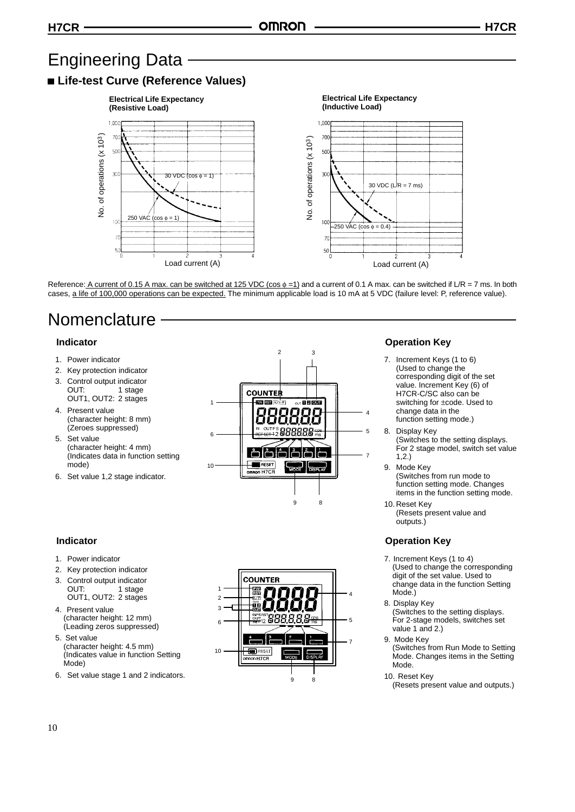# Engineering Data

# **Life-test Curve (Reference Values)**



Reference: A current of 0.15 A max. can be switched at 125 VDC (cos  $\phi = 1$ ) and a current of 0.1 A max. can be switched if L/R = 7 ms. In both cases, a life of 100,000 operations can be expected. The minimum applicable load is 10 mA at 5 VDC (failure level: P, reference value).

 $\overline{2}$ 

# Nomenclature

#### **Indicator**

- 1. Power indicator
- 2. Key protection indicator
- 3. Control output indicator OUT: 1 stage OUT1, OUT2: 2 stages
- 4. Present value (character height: 8 mm) (Zeroes suppressed)
- 5. Set value (character height: 4 mm) (Indicates data in function setting mode)
- 6. Set value 1,2 stage indicator.

#### **Indicator**

- 1. Power indicator
- 2. Key protection indicator
- 3. Control output indicator<br>OUT: 1 stage 1 stage OUT1, OUT2: 2 stages
- 4. Present value (character height: 12 mm) (Leading zeros suppressed)
- 5. Set value (character height: 4.5 mm) (Indicates value in function Setting Mode)
- 6. Set value stage 1 and 2 indicators.



**COUNTER** 

**ESET** e on H7CR

10

### **Operation Key**

- 7. Increment Keys (1 to 6) (Used to change the corresponding digit of the set value. Increment Key (6) of H7CR-C/SC also can be switching for ±code. Used to change data in the function setting mode.)
- 8. Display Key (Switches to the setting displays. For 2 stage model, switch set value 1,2.)
- 9. Mode Key (Switches from run mode to function setting mode. Changes items in the function setting mode.
- 10. Reset Key (Resets present value and outputs.)

# **Operation Key**

- 7. Increment Keys (1 to 4) (Used to change the corresponding digit of the set value. Used to change data in the function Setting Mode.)
- 8. Display Key (Switches to the setting displays. For 2-stage models, switches set value 1 and 2.)
- 9. Mode Key (Switches from Run Mode to Setting Mode. Changes items in the Setting Mode.
- 10. Reset Key

4

5

7

# 7

9 8

3

<sup>(</sup>Resets present value and outputs.)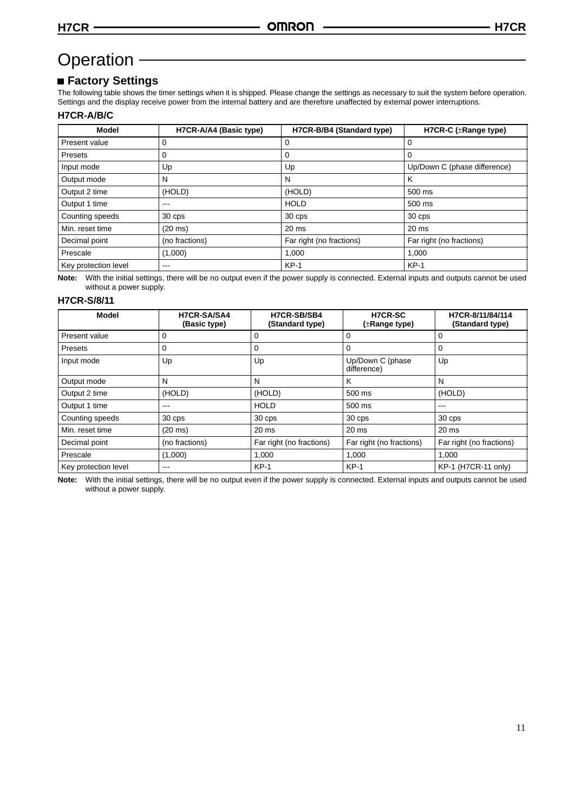# Operation -

# **Factory Settings**

The following table shows the timer settings when it is shipped. Please change the settings as necessary to suit the system before operation. Settings and the display receive power from the internal battery and are therefore unaffected by external power interruptions.

#### **H7CR-A/B/C**

| <b>Model</b>         | H7CR-A/A4 (Basic type) | H7CR-B/B4 (Standard type) | H7CR-C (±Range type)         |
|----------------------|------------------------|---------------------------|------------------------------|
| Present value        | 0                      | 0                         | 0                            |
| <b>Presets</b>       | 0                      | 0                         | 0                            |
| Input mode           | Up                     | Up                        | Up/Down C (phase difference) |
| Output mode          | N                      | N                         | Κ                            |
| Output 2 time        | (HOLD)                 | (HOLD)                    | 500 ms                       |
| Output 1 time        | $---$                  | <b>HOLD</b>               | 500 ms                       |
| Counting speeds      | 30 cps                 | 30 cps                    | 30 cps                       |
| Min. reset time      | $(20 \text{ ms})$      | 20 <sub>ms</sub>          | 20 <sub>ms</sub>             |
| Decimal point        | (no fractions)         | Far right (no fractions)  | Far right (no fractions)     |
| Prescale             | (1,000)                | 1,000                     | 1,000                        |
| Key protection level | ---                    | $KP-1$                    | $KP-1$                       |

**Note:** With the initial settings, there will be no output even if the power supply is connected. External inputs and outputs cannot be used without a power supply.

#### **H7CR-S/8/11**

| <b>Model</b>         | H7CR-SA/SA4<br>(Basic type) | H7CR-SB/SB4<br>(Standard type) | <b>H7CR-SC</b><br>$(\pm$ Range type) | H7CR-8/11/84/114<br>(Standard type) |
|----------------------|-----------------------------|--------------------------------|--------------------------------------|-------------------------------------|
| Present value        |                             |                                | 0                                    | O                                   |
| Presets              | 0                           | 0                              | 0                                    | 0                                   |
| Input mode           | Up                          | Up                             | Up/Down C (phase<br>difference)      | Up                                  |
| Output mode          | N                           | N                              | K                                    | N                                   |
| Output 2 time        | (HOLD)                      | (HOLD)                         | 500 ms                               | (HOLD)                              |
| Output 1 time        | ---                         | <b>HOLD</b>                    | $500$ ms                             | $---$                               |
| Counting speeds      | 30 cps                      | 30 cps                         | 30 cps                               | 30 cps                              |
| Min. reset time      | $(20 \text{ ms})$           | 20 <sub>ms</sub>               | $20$ ms                              | 20 <sub>ms</sub>                    |
| Decimal point        | (no fractions)              | Far right (no fractions)       | Far right (no fractions)             | Far right (no fractions)            |
| Prescale             | (1,000)                     | 1.000                          | 1.000                                | 1.000                               |
| Key protection level | ---                         | $KP-1$                         | $KP-1$                               | KP-1 (H7CR-11 only)                 |

**Note:** With the initial settings, there will be no output even if the power supply is connected. External inputs and outputs cannot be used without a power supply.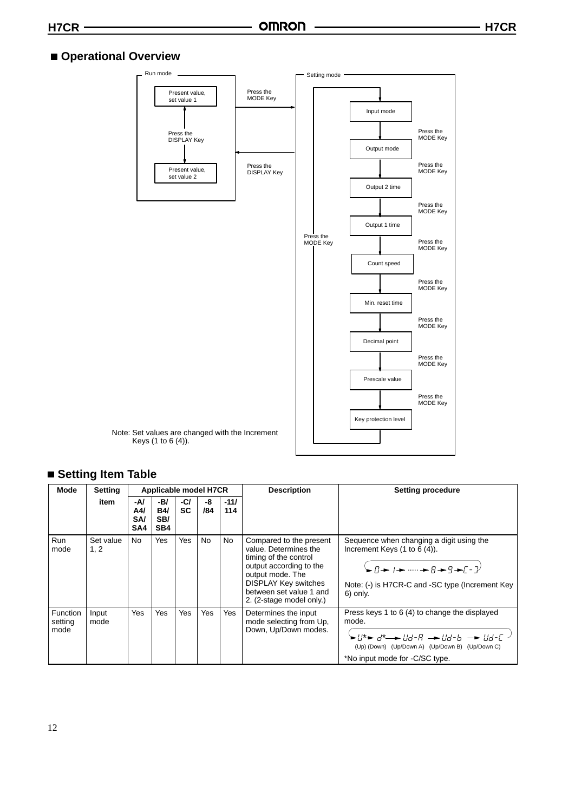# **Operational Overview**



# **Setting Item Table**

| Mode                        | Setting           | Applicable model H7CR           |                                 | <b>Description</b> | <b>Setting procedure</b> |               |                                                                                                                                                                                                                |                                                                                                                                                                                                                                                                                                                                                                                                                                                                                                                                                                                                                                                                                 |
|-----------------------------|-------------------|---------------------------------|---------------------------------|--------------------|--------------------------|---------------|----------------------------------------------------------------------------------------------------------------------------------------------------------------------------------------------------------------|---------------------------------------------------------------------------------------------------------------------------------------------------------------------------------------------------------------------------------------------------------------------------------------------------------------------------------------------------------------------------------------------------------------------------------------------------------------------------------------------------------------------------------------------------------------------------------------------------------------------------------------------------------------------------------|
|                             | item              | -A/<br>A4/<br><b>SA/</b><br>SA4 | -B/<br><b>B4/</b><br>SB/<br>SB4 | -C/<br><b>SC</b>   | -8<br>/84                | $-11/$<br>114 |                                                                                                                                                                                                                |                                                                                                                                                                                                                                                                                                                                                                                                                                                                                                                                                                                                                                                                                 |
| Run<br>mode                 | Set value<br>1, 2 | No                              | Yes                             | Yes                | No                       | <b>No</b>     | Compared to the present<br>value. Determines the<br>timing of the control<br>output according to the<br>output mode. The<br><b>DISPLAY Key switches</b><br>between set value 1 and<br>2. (2-stage model only.) | Sequence when changing a digit using the<br>Increment Keys $(1$ to $6$ $(4)$ ).<br>$\rightarrow$ n $\rightarrow$ n $\rightarrow$ n $\rightarrow$ n $\rightarrow$ n $\rightarrow$ n $\rightarrow$ n $\rightarrow$ n $\rightarrow$ n $\rightarrow$ n $\rightarrow$ n $\rightarrow$ n $\rightarrow$ n $\rightarrow$ n $\rightarrow$ n $\rightarrow$ n $\rightarrow$ n $\rightarrow$ n $\rightarrow$ n $\rightarrow$ n $\rightarrow$ n $\rightarrow$ n $\rightarrow$ n $\rightarrow$ n $\rightarrow$ n $\rightarrow$ n $\rightarrow$ n $\rightarrow$ n $\rightarrow$ n $\rightarrow$ n $\rightarrow$ n $\rightarrow$<br>Note: (-) is H7CR-C and -SC type (Increment Key<br>6) only. |
| Function<br>setting<br>mode | Input<br>mode     | Yes                             | Yes                             | <b>Yes</b>         | Yes                      | Yes           | Determines the input<br>mode selecting from Up.<br>Down, Up/Down modes.                                                                                                                                        | Press keys 1 to 6 (4) to change the displayed<br>mode.<br>$\blacktriangleright$ ll* $\blacktriangleright$ d* $\dashrightarrow$ lld-R $\dashrightarrow$ lld-b $\dashrightarrow$ lld-E $\dashv$<br>(Up) (Down) (Up/Down A) (Up/Down B) (Up/Down C)<br>*No input mode for -C/SC type.                                                                                                                                                                                                                                                                                                                                                                                              |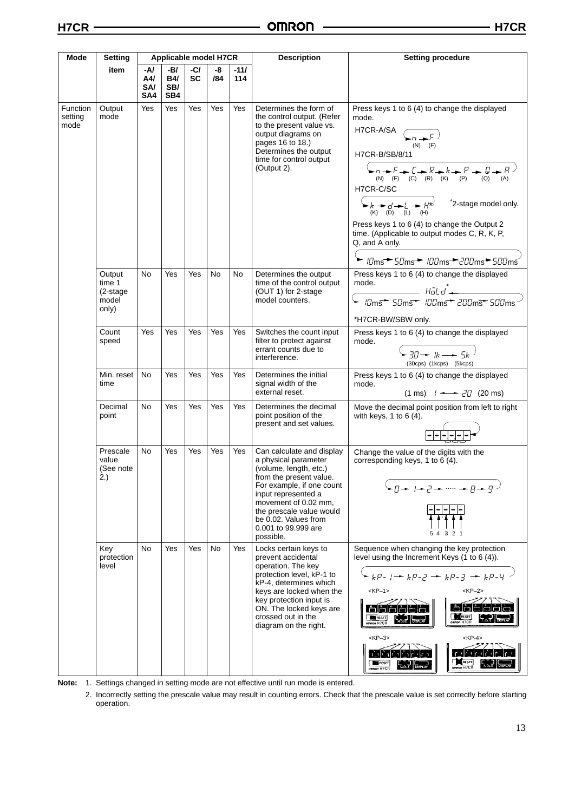| Mode                        | Setting                                                  |                                 |                                 | Applicable model H7CR |           |               | <b>Description</b>                                                                                                                                                                                                                                                         | <b>Setting procedure</b>                                                                                                                                                                                                                                                                                                                                                                                                                                                                                                                                                                                     |  |
|-----------------------------|----------------------------------------------------------|---------------------------------|---------------------------------|-----------------------|-----------|---------------|----------------------------------------------------------------------------------------------------------------------------------------------------------------------------------------------------------------------------------------------------------------------------|--------------------------------------------------------------------------------------------------------------------------------------------------------------------------------------------------------------------------------------------------------------------------------------------------------------------------------------------------------------------------------------------------------------------------------------------------------------------------------------------------------------------------------------------------------------------------------------------------------------|--|
|                             | item                                                     | -A/<br>A4/<br><b>SA/</b><br>SA4 | -B/<br><b>B4/</b><br>SB/<br>SB4 | $-C/$<br><b>SC</b>    | -8<br>/84 | $-11/$<br>114 |                                                                                                                                                                                                                                                                            |                                                                                                                                                                                                                                                                                                                                                                                                                                                                                                                                                                                                              |  |
| Function<br>setting<br>mode | Output<br>mode                                           | Yes                             | Yes                             | Yes                   | Yes       | Yes           | Determines the form of<br>the control output. (Refer<br>to the present value vs.<br>output diagrams on<br>pages 16 to 18.)<br>Determines the output<br>time for control output<br>(Output 2).                                                                              | Press keys 1 to 6 (4) to change the displayed<br>mode.<br>H7CR-A/SA $\left(\begin{array}{c} \sqrt{n+1} \end{array}\right)$<br>$(N)$ $(F)$<br>H7CR-B/SB/8/11<br>$\rightarrow$ n $\rightarrow$ F $\rightarrow$ E $\rightarrow$ R $\rightarrow$ k $\rightarrow$ P $\rightarrow$ B $\rightarrow$ R $\rightarrow$<br>$(N)$ $(F)$ $(C)$ $(R)$ $(K)$ $(P)$<br>(Q)<br>(A)<br>H7CR-C/SC<br>$K + d$<br>(K) (D) (L) (H)<br>*2-stage model only.<br>Press keys 1 to 6 (4) to change the Output 2<br>time. (Applicable to output modes C, R, K, P,<br>Q, and A only.<br>► <i>IDms<sup>→</sup> 5Dms→ IDDms→20Dms→50Dms</i> |  |
|                             | Output<br>time 1<br>$(2\text{-stage})$<br>model<br>only) | No                              | Yes                             | Yes                   | No        | No            | Determines the output<br>time of the control output<br>(OUT 1) for 2-stage<br>model counters.                                                                                                                                                                              | Press keys 1 to 6 (4) to change the displayed<br>mode.<br>$H\ddot{o}Ld$<br>*H7CR-BW/SBW only.                                                                                                                                                                                                                                                                                                                                                                                                                                                                                                                |  |
|                             | Count<br>speed                                           | Yes                             | Yes                             | Yes                   | Yes       | Yes           | Switches the count input<br>filter to protect against<br>errant counts due to<br>interference.                                                                                                                                                                             | Press keys 1 to 6 (4) to change the displayed<br>mode.<br>$\zeta_{\mathsf{F}}$ 30 $\rightarrow$ 1k $\rightarrow$ 5k $\zeta$<br>(30cps) (1kcps) (5kcps)                                                                                                                                                                                                                                                                                                                                                                                                                                                       |  |
|                             | Min. reset<br>time                                       | No.                             | Yes                             | Yes                   | Yes       | Yes           | Determines the initial<br>signal width of the<br>external reset.                                                                                                                                                                                                           | Press keys 1 to 6 (4) to change the displayed<br>mode.<br>$(1 \text{ ms})$ $1 \rightarrow 20$ (20 ms)                                                                                                                                                                                                                                                                                                                                                                                                                                                                                                        |  |
|                             | Decimal<br>point                                         | No                              | Yes                             | Yes                   | Yes       | Yes           | Determines the decimal<br>point position of the<br>present and set values.                                                                                                                                                                                                 | Move the decimal point position from left to right<br>with keys, $1$ to $6(4)$ .                                                                                                                                                                                                                                                                                                                                                                                                                                                                                                                             |  |
|                             | Prescale<br>value<br>(See note<br>2.)                    | No.                             | Yes                             | Yes                   | Yes       | Yes           | Can calculate and display<br>a physical parameter<br>(volume, length, etc.)<br>from the present value.<br>For example, if one count<br>input represented a<br>movement of 0.02 mm,<br>the prescale value would<br>be 0.02. Values from<br>0.001 to 99.999 are<br>possible. | Change the value of the digits with the<br>corresponding keys, 1 to 6 (4).<br>$-0 \rightarrow 1 \rightarrow 2 \rightarrow \cdots \rightarrow 8 \rightarrow 9$ )<br>3 2 1<br>54                                                                                                                                                                                                                                                                                                                                                                                                                               |  |
|                             | Key<br>protection<br>level                               | No                              | Yes                             | Yes                   | No        | Yes           | Locks certain keys to<br>prevent accidental<br>operation. The key<br>protection level, kP-1 to<br>kP-4, determines which<br>keys are locked when the<br>key protection input is<br>ON. The locked keys are<br>crossed out in the<br>diagram on the right.                  | Sequence when changing the key protection<br>level using the Increment Keys (1 to 6 (4)).<br>$k + kP - 1 + kP - 2 - kP - 3 - kP - 4$<br>$<$ KP $-1$ ><br>$<$ KP $-2$ ><br>OM RESET<br><b>RESET</b><br><b>SIRON H7CR</b><br>$<$ KP $-3$ ><br>$<$ KP-4><br>n ri<br>ridrial<br>RESET<br>MIRESET<br>$m$ con $H7CR$                                                                                                                                                                                                                                                                                               |  |

**Note:** 1. Settings changed in setting mode are not effective until run mode is entered.

<sup>2.</sup> Incorrectly setting the prescale value may result in counting errors. Check that the prescale value is set correctly before starting operation.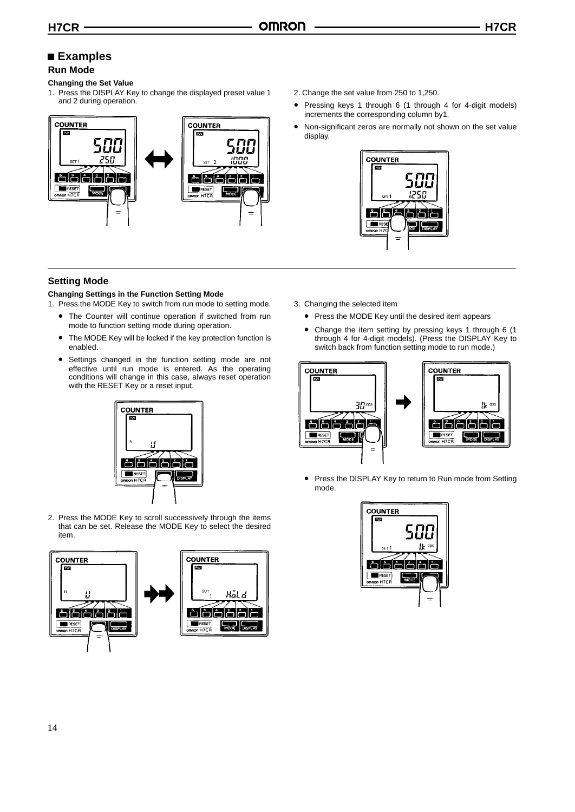# **Examples**

# **Run Mode**

#### **Changing the Set Value**

1. Press the DISPLAY Key to change the displayed preset value 1 and 2 during operation.



## **Setting Mode**

#### **Changing Settings in the Function Setting Mode**

- 1. Press the MODE Key to switch from run mode to setting mode.
	- The Counter will continue operation if switched from run mode to function setting mode during operation.
	- The MODE Key will be locked if the key protection function is enabled.
	- Settings changed in the function setting mode are not effective until run mode is entered. As the operating conditions will change in this case, always reset operation with the RESET Key or a reset input.



2. Press the MODE Key to scroll successively through the items that can be set. Release the MODE Key to select the desired item.



- 2. Change the set value from 250 to 1,250.
- Pressing keys 1 through 6 (1 through 4 for 4-digit models) increments the corresponding column by1.
- Non-significant zeros are normally not shown on the set value display.



- 3. Changing the selected item
	- Press the MODE Key until the desired item appears
	- Change the item setting by pressing keys 1 through 6 (1 through 4 for 4-digit models). (Press the DISPLAY Key to switch back from function setting mode to run mode.)



• Press the DISPLAY Key to return to Run mode from Setting mode.

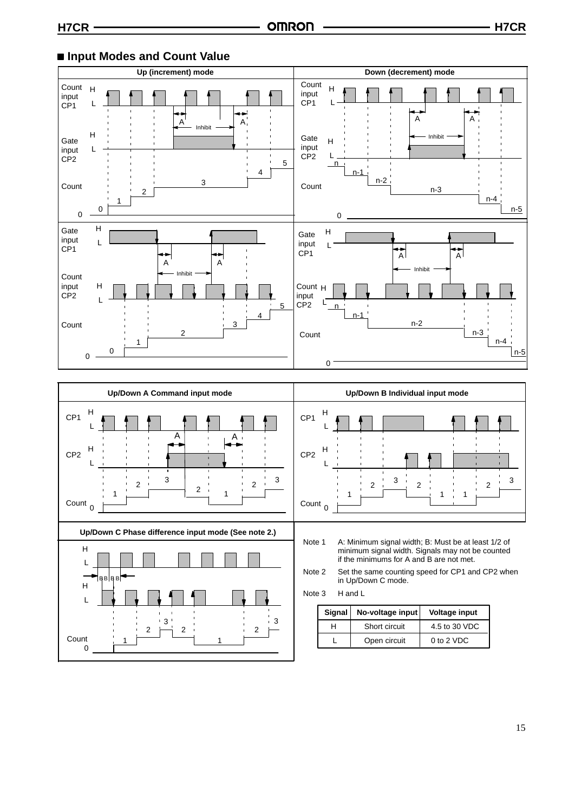0

1

1

Open circuit Count 0 to 2 VDC

# ■ Input Modes and Count Value





L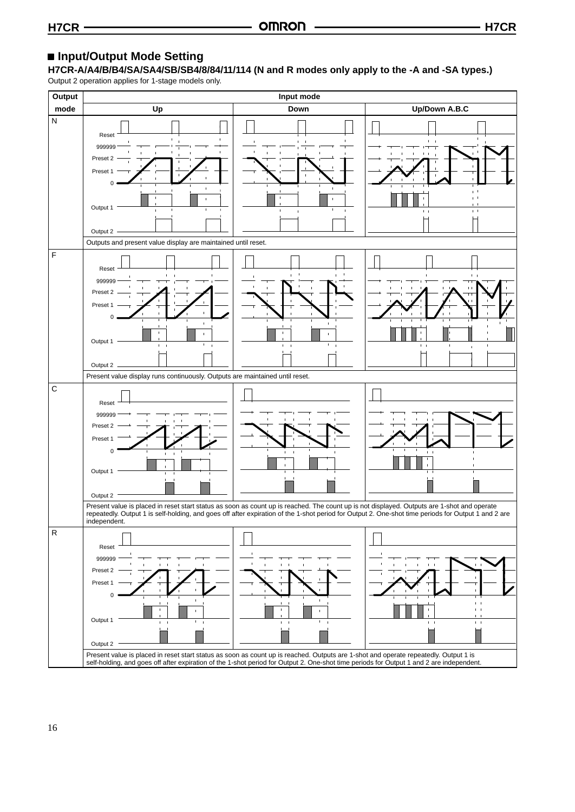# **Input/Output Mode Setting**

**H7CR-A/A4/B/B4/SA/SA4/SB/SB4/8/84/11/114 (N and R modes only apply to the -A and -SA types.)**

Output 2 operation applies for 1-stage models only.

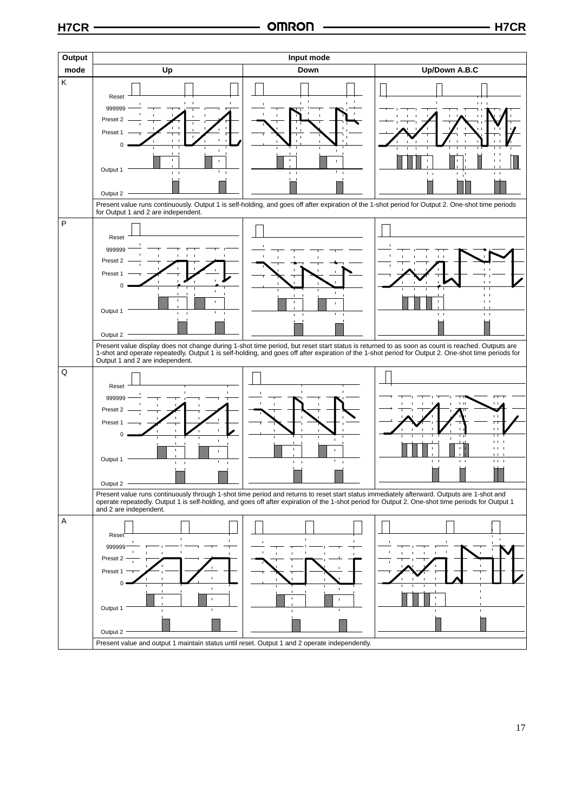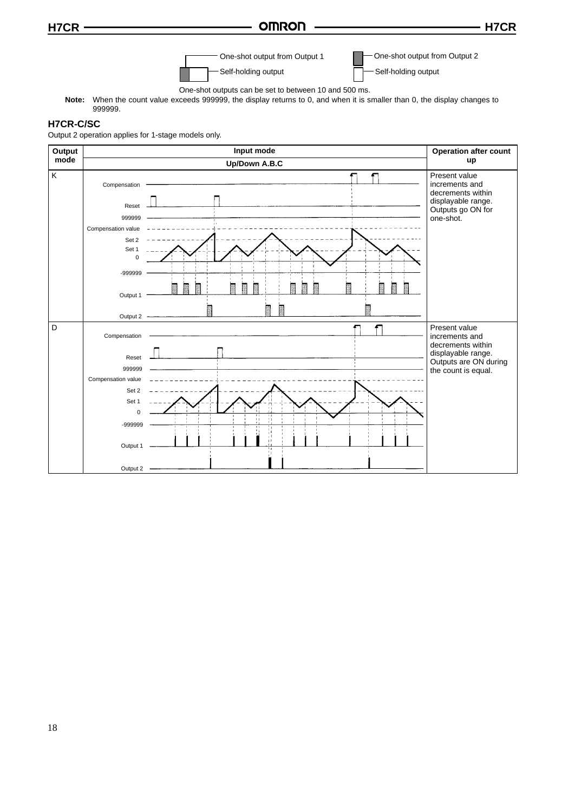# **H7CR H7CR**



One-shot output from Output 2

One-shot outputs can be set to between 10 and 500 ms.

**Note:** When the count value exceeds 999999, the display returns to 0, and when it is smaller than 0, the display changes to 999999.

#### **H7CR-C/SC**

Output 2 operation applies for 1-stage models only.

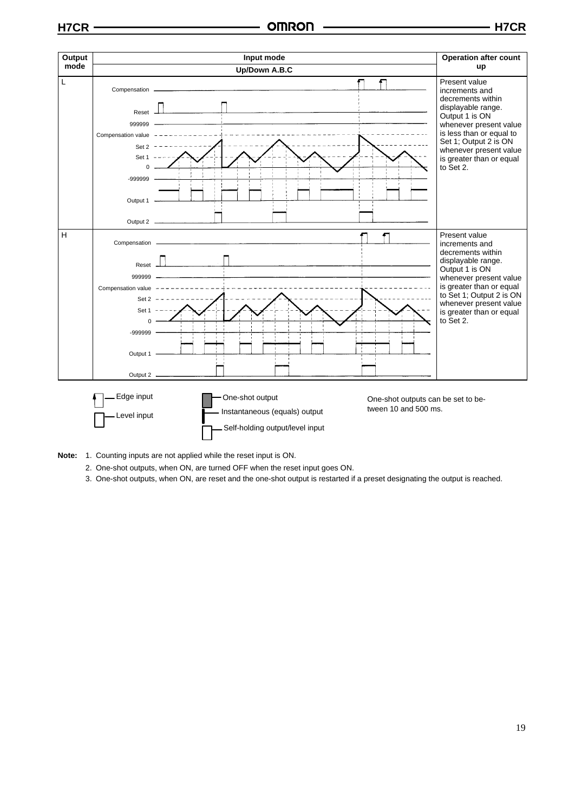

- **Note:** 1. Counting inputs are not applied while the reset input is ON.
	- 2. One-shot outputs, when ON, are turned OFF when the reset input goes ON.
	- 3. One-shot outputs, when ON, are reset and the one-shot output is restarted if a preset designating the output is reached.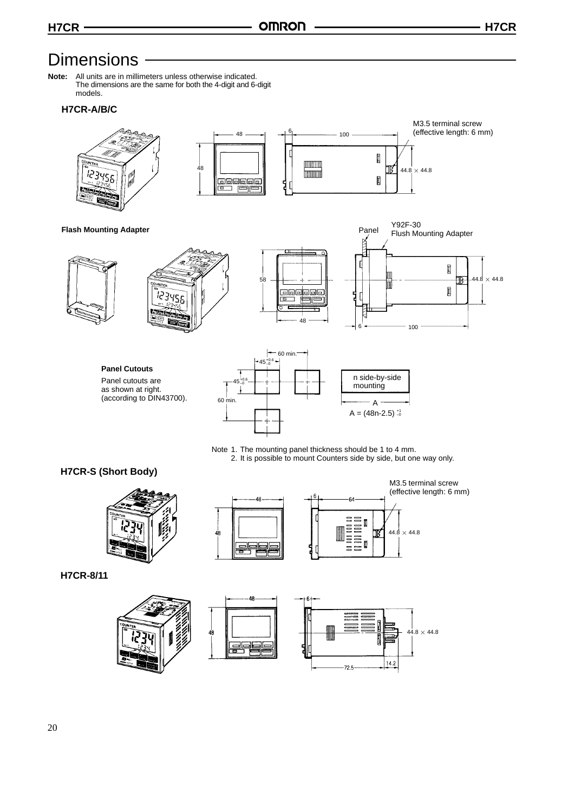# **Dimensions**

**Note:** All units are in millimeters unless otherwise indicated. The dimensions are the same for both the 4-digit and 6-digit models.

## **H7CR-A/B/C**



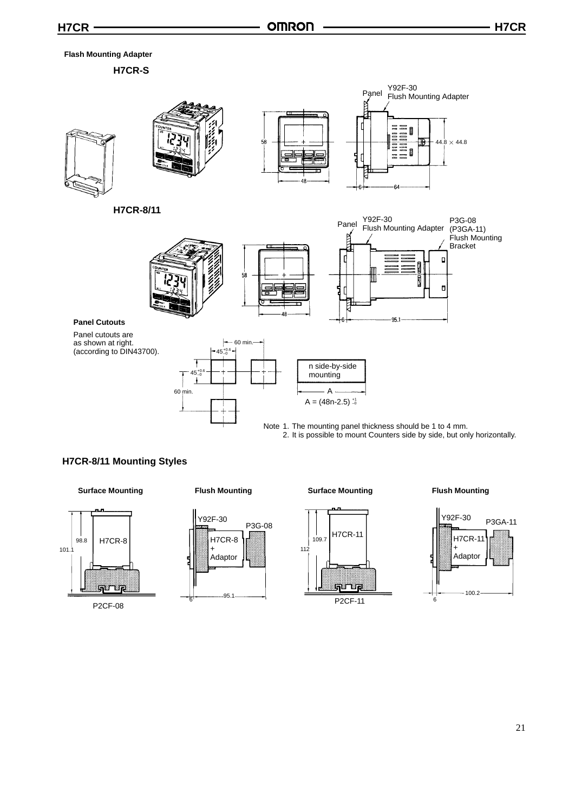#### **Flash Mounting Adapter**

**H7CR-S**



Note 1. The mounting panel thickness should be 1 to 4 mm. 2. It is possible to mount Counters side by side, but only horizontally.

## **H7CR-8/11 Mounting Styles**

**Surface Mounting**



#### **Flush Mounting**







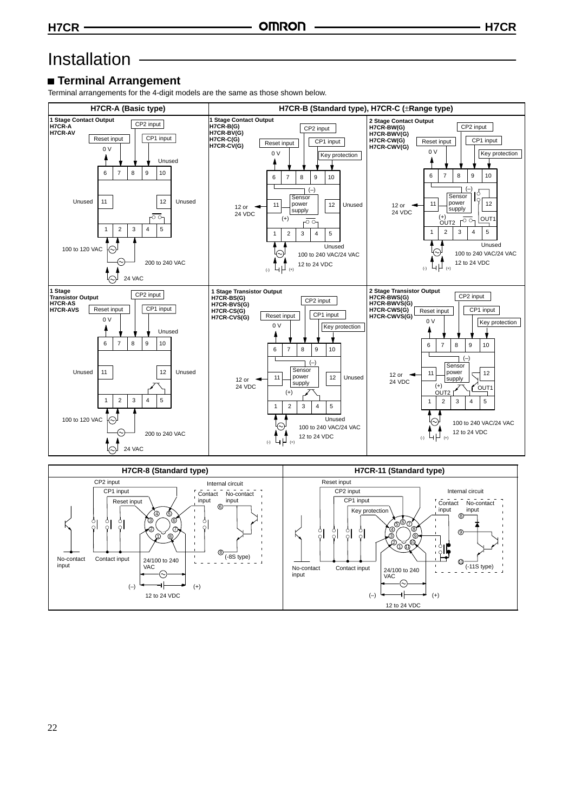# Installation

# **Terminal Arrangement**

Terminal arrangements for the 4-digit models are the same as those shown below.



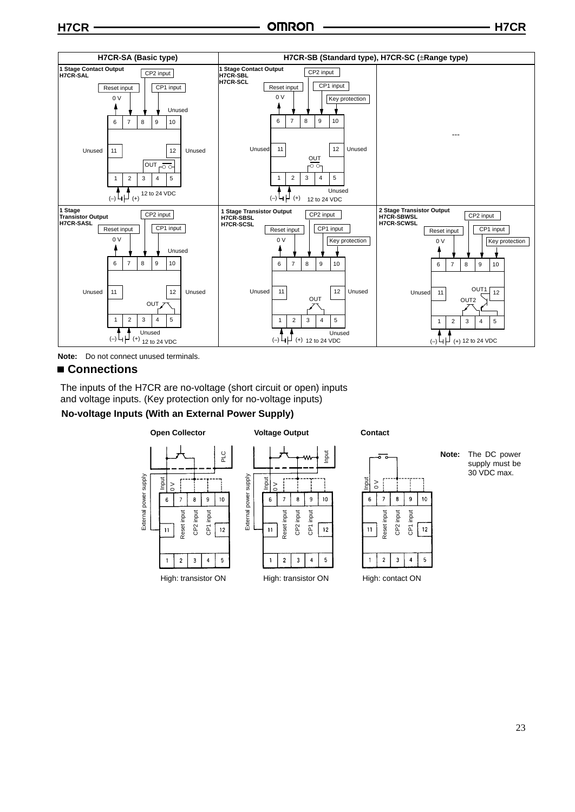



#### **Connections**

The inputs of the H7CR are no-voltage (short circuit or open) inputs and voltage inputs. (Key protection only for no-voltage inputs)

# **No-voltage Inputs (With an External Power Supply)**

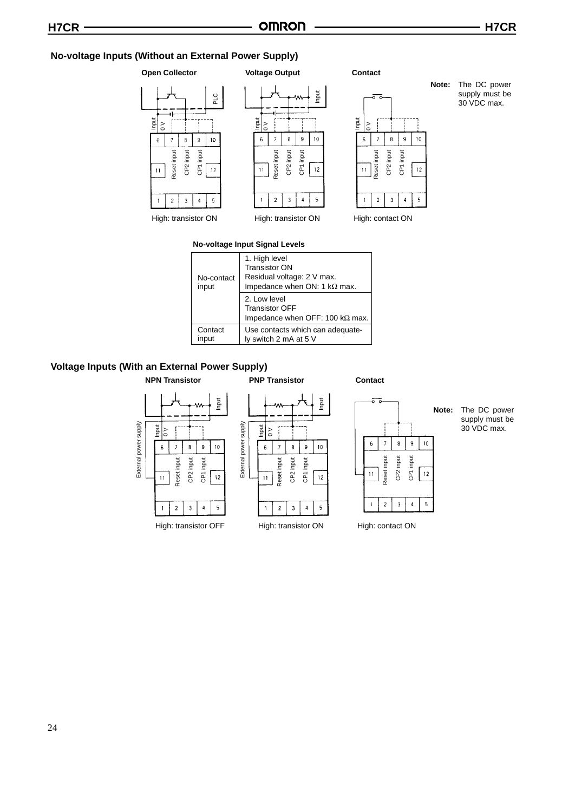#### **No-voltage Inputs (Without an External Power Supply)**

# **Open Collector**









# **No-voltage Input Signal Levels**

| No-contact<br>input | 1. High level<br><b>Transistor ON</b><br>Residual voltage: 2 V max.<br>Impedance when ON: 1 $k\Omega$ max. |
|---------------------|------------------------------------------------------------------------------------------------------------|
|                     | 2. Low level<br><b>Transistor OFF</b><br>Impedance when OFF: 100 k $\Omega$ max.                           |
| Contact<br>input    | Use contacts which can adequate-<br>ly switch 2 mA at 5 V                                                  |

#### **Voltage Inputs (With an External Power Supply)**



**Note:** The DC power supply must be 30 VDC max.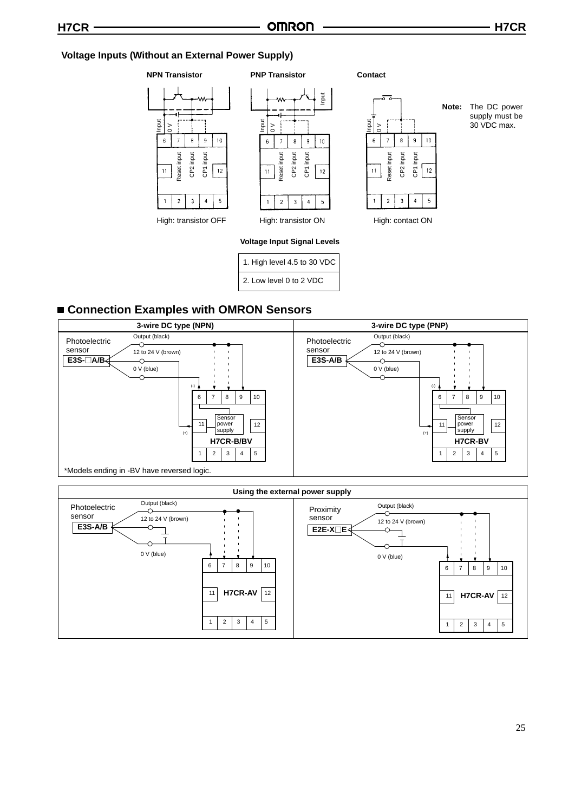## **Voltage Inputs (Without an External Power Supply)**

#### **NPN Transistor**







**Note:** The DC power supply must be 30 VDC max.

#### **Voltage Input Signal Levels**

1. High level 4.5 to 30 VDC 2. Low level 0 to 2 VDC

# **Connection Examples with OMRON Sensors**



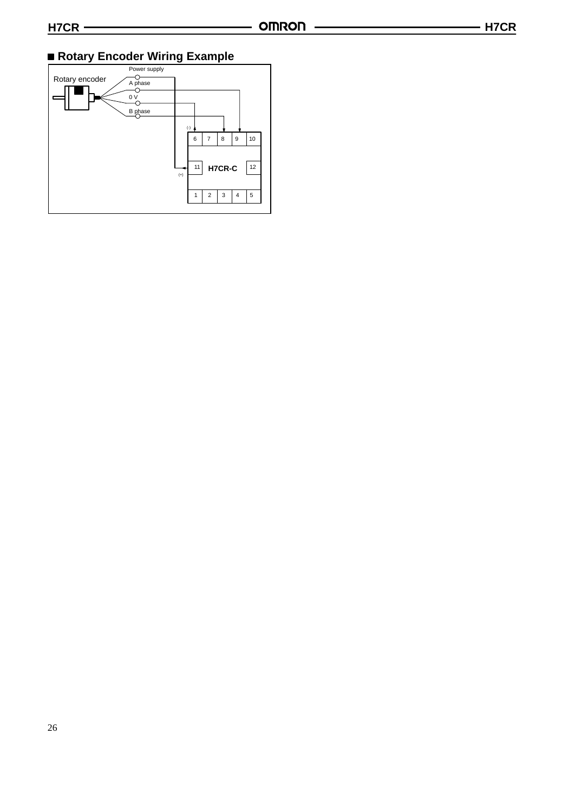# **Rotary Encoder Wiring Example**

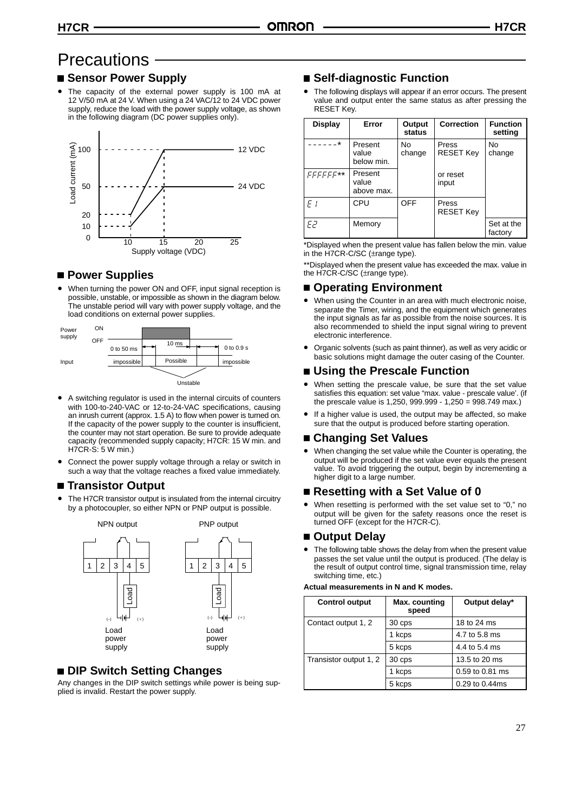# **Precautions**

## **Sensor Power Supply**

• The capacity of the external power supply is 100 mA at 12 V/50 mA at 24 V. When using a 24 VAC/12 to 24 VDC power supply, reduce the load with the power supply voltage, as shown in the following diagram (DC power supplies only).



# **Power Supplies**

• When turning the power ON and OFF, input signal reception is possible, unstable, or impossible as shown in the diagram below. The unstable period will vary with power supply voltage, and the load conditions on external power supplies.



- A switching regulator is used in the internal circuits of counters with 100-to-240-VAC or 12-to-24-VAC specifications, causing an inrush current (approx. 1.5 A) to flow when power is turned on. If the capacity of the power supply to the counter is insufficient, the counter may not start operation. Be sure to provide adequate capacity (recommended supply capacity; H7CR: 15 W min. and H7CR-S: 5 W min.)
- Connect the power supply voltage through a relay or switch in such a way that the voltage reaches a fixed value immediately.

## ■ Transistor Output

• The H7CR transistor output is insulated from the internal circuitry by a photocoupler, so either NPN or PNP output is possible.



# **DIP Switch Setting Changes**

Any changes in the DIP switch settings while power is being supplied is invalid. Restart the power supply.

# ■ Self-diagnostic Function

The following displays will appear if an error occurs. The present value and output enter the same status as after pressing the RESET Key.

| <b>Display</b> | Error                          | Output<br>status | Correction                | <b>Function</b><br>setting |
|----------------|--------------------------------|------------------|---------------------------|----------------------------|
| $\star$        | Present<br>value<br>below min. | No<br>change     | Press<br><b>RESET Key</b> | No<br>change               |
| FFFFFF**       | Present<br>value<br>above max. |                  | or reset<br>input         |                            |
| F <sub>i</sub> | CPU                            | <b>OFF</b>       | Press<br><b>RESET Key</b> |                            |
| FP             | Memory                         |                  |                           | Set at the<br>factory      |

\*Displayed when the present value has fallen below the min. value in the H7CR-C/SC (±range type).

\*\*Displayed when the present value has exceeded the max. value in the H7CR-C/SC (±range type).

# **Operating Environment**

- When using the Counter in an area with much electronic noise. separate the Timer, wiring, and the equipment which generates the input signals as far as possible from the noise sources. It is also recommended to shield the input signal wiring to prevent electronic interference.
- Organic solvents (such as paint thinner), as well as very acidic or basic solutions might damage the outer casing of the Counter.

# **Using the Prescale Function**

- When setting the prescale value, be sure that the set value satisfies this equation: set value "max. value - prescale value'. (if the prescale value is 1,250, 999.999 - 1,250 = 998.749 max.)
- If a higher value is used, the output may be affected, so make sure that the output is produced before starting operation.

## **Changing Set Values**

• When changing the set value while the Counter is operating, the output will be produced if the set value ever equals the present value. To avoid triggering the output, begin by incrementing a higher digit to a large number.

# **Resetting with a Set Value of 0**

• When resetting is performed with the set value set to "0," no output will be given for the safety reasons once the reset is turned OFF (except for the H7CR-C).

## **Output Delay**

The following table shows the delay from when the present value passes the set value until the output is produced. (The delay is the result of output control time, signal transmission time, relay switching time, etc.)

#### **Actual measurements in N and K modes.**

| <b>Control output</b>  | Max. counting<br>speed | Output delay*   |
|------------------------|------------------------|-----------------|
| Contact output 1, 2    | 30 cps                 | 18 to 24 ms     |
|                        | 1 kcps                 | 4.7 to 5.8 ms   |
|                        | 5 kcps                 | 4.4 to 5.4 ms   |
| Transistor output 1, 2 | 30 cps                 | 13.5 to 20 ms   |
|                        | 1 kcps                 | 0.59 to 0.81 ms |
|                        | 5 kcps                 | 0.29 to 0.44ms  |